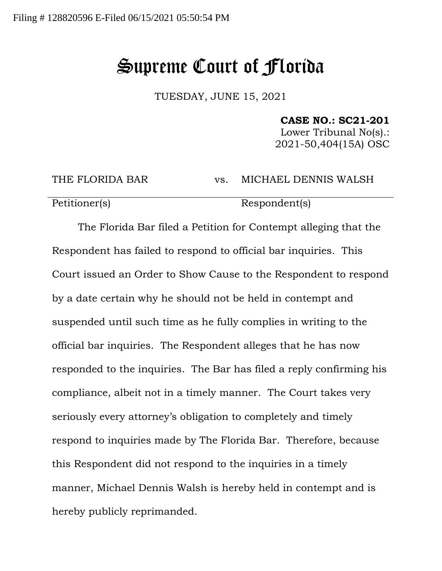## Supreme Court of Florida

TUESDAY, JUNE 15, 2021

**CASE NO.: SC21-201**

Lower Tribunal No(s).: 2021-50,404(15A) OSC

THE FLORIDA BAR vs. MICHAEL DENNIS WALSH

Petitioner(s) Respondent(s)

The Florida Bar filed a Petition for Contempt alleging that the Respondent has failed to respond to official bar inquiries. This Court issued an Order to Show Cause to the Respondent to respond by a date certain why he should not be held in contempt and suspended until such time as he fully complies in writing to the official bar inquiries. The Respondent alleges that he has now responded to the inquiries. The Bar has filed a reply confirming his compliance, albeit not in a timely manner. The Court takes very seriously every attorney's obligation to completely and timely respond to inquiries made by The Florida Bar. Therefore, because this Respondent did not respond to the inquiries in a timely manner, Michael Dennis Walsh is hereby held in contempt and is hereby publicly reprimanded.